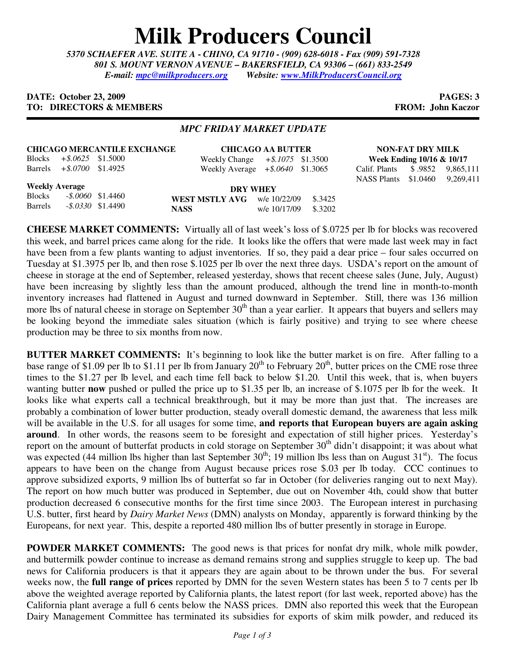# **Milk Producers Council**

*5370 SCHAEFER AVE. SUITE A* **-** *CHINO, CA 91710 - (909) 628-6018 - Fax (909) 591-7328 801 S. MOUNT VERNON AVENUE – BAKERSFIELD, CA 93306 – (661) 833-2549 E-mail: mpc@milkproducers.org Website: www.MilkProducersCouncil.org*

#### **DATE: October 23, 2009 PAGES: 3 TO: DIRECTORS & MEMBERS FROM: John Kaczor**

#### *MPC FRIDAY MARKET UPDATE*

Blocks *+\$.0625* \$1.5000 Barrels *+\$.0700* \$1.4925

**CHICAGO AA BUTTER** Weekly Change *+\$.1075* \$1.3500 Weekly Average *+\$.0640* \$1.3065

> **\$.3425 S.3202**

**NON-FAT DRY MILK Week Ending 10/16 & 10/17** Calif. Plants \$ .9852 9,865,111

NASS Plants \$1.0460 9,269,411

**Weekly Average**

| <i>weekly Average</i> |                      |                     |                                      | DRY WHEY     |  |  |
|-----------------------|----------------------|---------------------|--------------------------------------|--------------|--|--|
| Blocks                | $-$ \$.0060 \$1.4460 |                     | <b>WEST MSTLY AVG</b> $w/e$ 10/22/09 |              |  |  |
| Barrels               |                      | $-.8.0330$ \$1.4490 | <b>NASS</b>                          | w/e 10/17/09 |  |  |

**CHEESE MARKET COMMENTS:** Virtually all of last week's loss of \$.0725 per lb for blocks was recovered this week, and barrel prices came along for the ride. It looks like the offers that were made last week may in fact have been from a few plants wanting to adjust inventories. If so, they paid a dear price – four sales occurred on Tuesday at \$1.3975 per lb, and then rose \$.1025 per lb over the next three days. USDA's report on the amount of cheese in storage at the end of September, released yesterday, shows that recent cheese sales (June, July, August) have been increasing by slightly less than the amount produced, although the trend line in month-to-month inventory increases had flattened in August and turned downward in September. Still, there was 136 million more lbs of natural cheese in storage on September  $30<sup>th</sup>$  than a year earlier. It appears that buyers and sellers may be looking beyond the immediate sales situation (which is fairly positive) and trying to see where cheese production may be three to six months from now.

**BUTTER MARKET COMMENTS:** It's beginning to look like the butter market is on fire. After falling to a base range of \$1.09 per lb to \$1.11 per lb from January  $20<sup>th</sup>$  to February  $20<sup>th</sup>$ , butter prices on the CME rose three times to the \$1.27 per lb level, and each time fell back to below \$1.20. Until this week, that is, when buyers wanting butter **now** pushed or pulled the price up to \$1.35 per lb, an increase of \$.1075 per lb for the week. It looks like what experts call a technical breakthrough, but it may be more than just that. The increases are probably a combination of lower butter production, steady overall domestic demand, the awareness that less milk will be available in the U.S. for all usages for some time, **and reports that European buyers are again asking around**. In other words, the reasons seem to be foresight and expectation of still higher prices. Yesterday's report on the amount of butterfat products in cold storage on September  $30<sup>th</sup>$  didn't disappoint; it was about what was expected (44 million lbs higher than last September  $30<sup>th</sup>$ ; 19 million lbs less than on August  $31<sup>st</sup>$ ). The focus appears to have been on the change from August because prices rose \$.03 per lb today. CCC continues to approve subsidized exports, 9 million lbs of butterfat so far in October (for deliveries ranging out to next May). The report on how much butter was produced in September, due out on November 4th, could show that butter production decreased 6 consecutive months for the first time since 2003. The European interest in purchasing U.S. butter, first heard by *Dairy Market News* (DMN) analysts on Monday, apparently is forward thinking by the Europeans, for next year. This, despite a reported 480 million lbs of butter presently in storage in Europe.

**POWDER MARKET COMMENTS:** The good news is that prices for nonfat dry milk, whole milk powder, and buttermilk powder continue to increase as demand remains strong and supplies struggle to keep up. The bad news for California producers is that it appears they are again about to be thrown under the bus. For several weeks now, the **full range of prices** reported by DMN for the seven Western states has been 5 to 7 cents per lb above the weighted average reported by California plants, the latest report (for last week, reported above) has the California plant average a full 6 cents below the NASS prices. DMN also reported this week that the European Dairy Management Committee has terminated its subsidies for exports of skim milk powder, and reduced its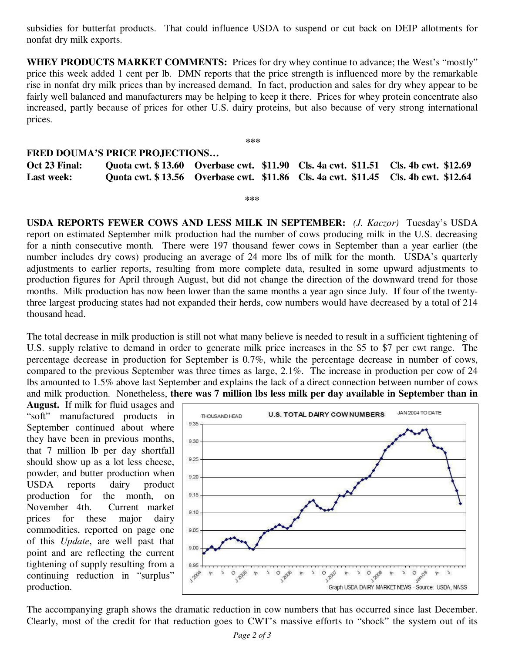subsidies for butterfat products. That could influence USDA to suspend or cut back on DEIP allotments for nonfat dry milk exports.

**WHEY PRODUCTS MARKET COMMENTS:** Prices for dry whey continue to advance; the West's "mostly" price this week added 1 cent per lb. DMN reports that the price strength is influenced more by the remarkable rise in nonfat dry milk prices than by increased demand. In fact, production and sales for dry whey appear to be fairly well balanced and manufacturers may be helping to keep it there. Prices for whey protein concentrate also increased, partly because of prices for other U.S. dairy proteins, but also because of very strong international prices.

**\*\*\*** 

## **FRED DOUMA'S PRICE PROJECTIONS…**

| Oct 23 Final:     |  | Quota cwt. \$13.60 Overbase cwt. \$11.90 Cls. 4a cwt. \$11.51 Cls. 4b cwt. \$12.69 |  |
|-------------------|--|------------------------------------------------------------------------------------|--|
| <b>Last week:</b> |  | Quota cwt. \$13.56 Overbase cwt. \$11.86 Cls. 4a cwt. \$11.45 Cls. 4b cwt. \$12.64 |  |

**\*\*\*** 

**USDA REPORTS FEWER COWS AND LESS MILK IN SEPTEMBER:** *(J. Kaczor)* Tuesday's USDA report on estimated September milk production had the number of cows producing milk in the U.S. decreasing for a ninth consecutive month. There were 197 thousand fewer cows in September than a year earlier (the number includes dry cows) producing an average of 24 more lbs of milk for the month. USDA's quarterly adjustments to earlier reports, resulting from more complete data, resulted in some upward adjustments to production figures for April through August, but did not change the direction of the downward trend for those months. Milk production has now been lower than the same months a year ago since July. If four of the twentythree largest producing states had not expanded their herds, cow numbers would have decreased by a total of 214 thousand head.

The total decrease in milk production is still not what many believe is needed to result in a sufficient tightening of U.S. supply relative to demand in order to generate milk price increases in the \$5 to \$7 per cwt range. The percentage decrease in production for September is 0.7%, while the percentage decrease in number of cows, compared to the previous September was three times as large, 2.1%. The increase in production per cow of 24 lbs amounted to 1.5% above last September and explains the lack of a direct connection between number of cows and milk production. Nonetheless, **there was 7 million lbs less milk per day available in September than in** 

**August.** If milk for fluid usages and "soft" manufactured products in September continued about where they have been in previous months, that 7 million lb per day shortfall should show up as a lot less cheese, powder, and butter production when USDA reports dairy product production for the month, on November 4th. Current market prices for these major dairy commodities, reported on page one of this *Update*, are well past that point and are reflecting the current tightening of supply resulting from a continuing reduction in "surplus" production.



The accompanying graph shows the dramatic reduction in cow numbers that has occurred since last December. Clearly, most of the credit for that reduction goes to CWT's massive efforts to "shock" the system out of its